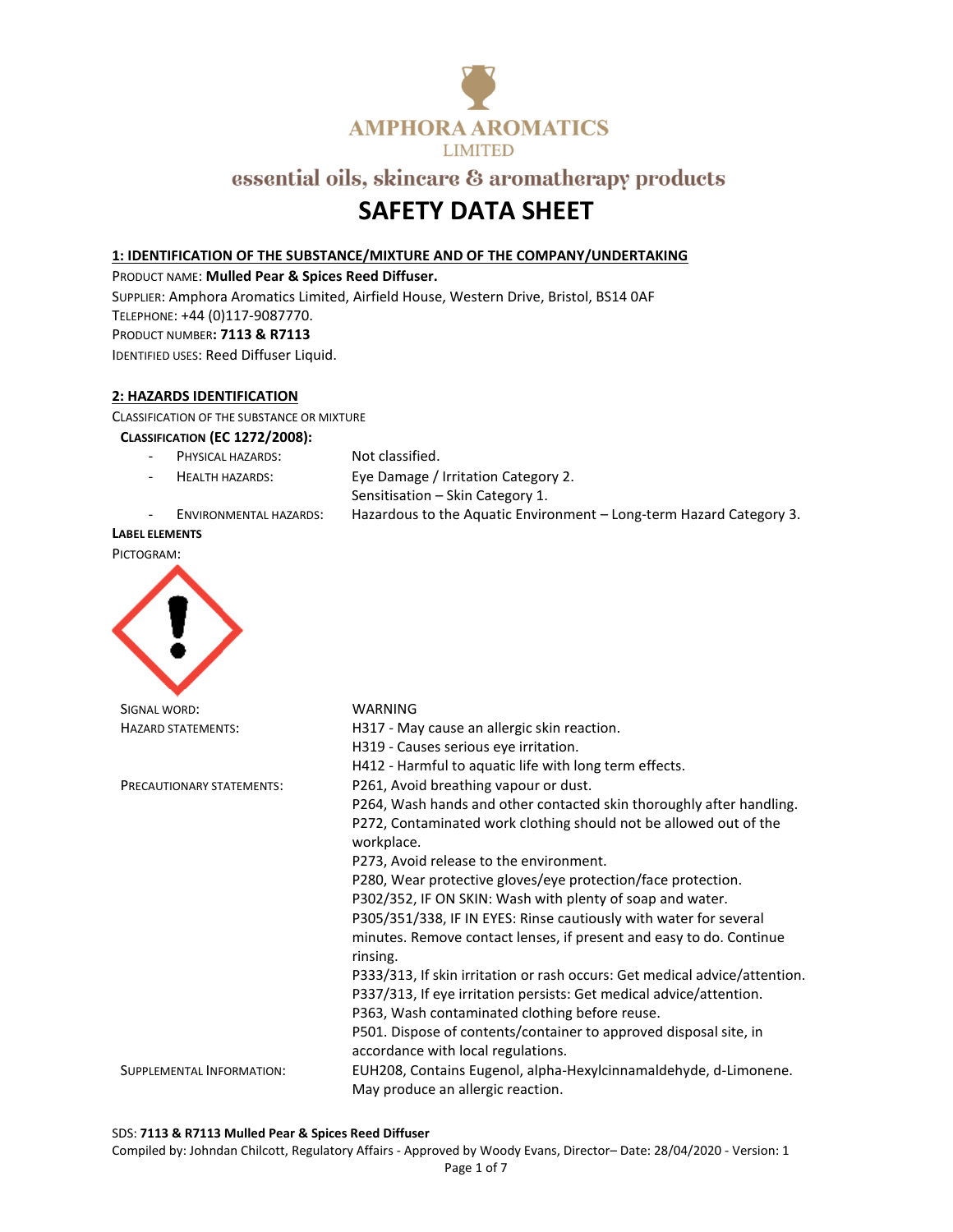

# **SAFETY DATA SHEET**

#### **1: IDENTIFICATION OF THE SUBSTANCE/MIXTURE AND OF THE COMPANY/UNDERTAKING**

PRODUCT NAME: **Mulled Pear & Spices Reed Diffuser.**

SUPPLIER: Amphora Aromatics Limited, Airfield House, Western Drive, Bristol, BS14 0AF TELEPHONE: +44 (0)117-9087770. PRODUCT NUMBER**: 7113 & R7113** IDENTIFIED USES: Reed Diffuser Liquid.

#### **2: HAZARDS IDENTIFICATION**

CLASSIFICATION OF THE SUBSTANCE OR MIXTURE

#### **CLASSIFICATION (EC 1272/2008):**

|  | PHYSICAL HAZARDS: | Not classified. |
|--|-------------------|-----------------|
|--|-------------------|-----------------|

- HEALTH HAZARDS: Eye Damage / Irritation Category 2. Sensitisation – Skin Category 1.
	-

- ENVIRONMENTAL HAZARDS: Hazardous to the Aquatic Environment – Long-term Hazard Category 3.

### **LABEL ELEMENTS**



| TIAZAND ƏTATEİVIEN 13.    | TISTI - IVIAV CAUSE AII AIIEI RIC SNIITTEACHUII.                                |
|---------------------------|---------------------------------------------------------------------------------|
|                           | H319 - Causes serious eye irritation.                                           |
|                           | H412 - Harmful to aquatic life with long term effects.                          |
| PRECAUTIONARY STATEMENTS: | P261, Avoid breathing vapour or dust.                                           |
|                           | P264, Wash hands and other contacted skin thoroughly after handling.            |
|                           | P272, Contaminated work clothing should not be allowed out of the<br>workplace. |
|                           | P273, Avoid release to the environment.                                         |
|                           | P280, Wear protective gloves/eye protection/face protection.                    |
|                           | P302/352, IF ON SKIN: Wash with plenty of soap and water.                       |
|                           | P305/351/338, IF IN EYES: Rinse cautiously with water for several               |
|                           | minutes. Remove contact lenses, if present and easy to do. Continue<br>rinsing. |
|                           | P333/313, If skin irritation or rash occurs: Get medical advice/attention.      |
|                           | P337/313, If eye irritation persists: Get medical advice/attention.             |
|                           | P363, Wash contaminated clothing before reuse.                                  |
|                           | P501. Dispose of contents/container to approved disposal site, in               |
|                           | accordance with local regulations.                                              |
| SUPPLEMENTAL INFORMATION: | EUH208, Contains Eugenol, alpha-Hexylcinnamaldehyde, d-Limonene.                |
|                           | May produce an allergic reaction.                                               |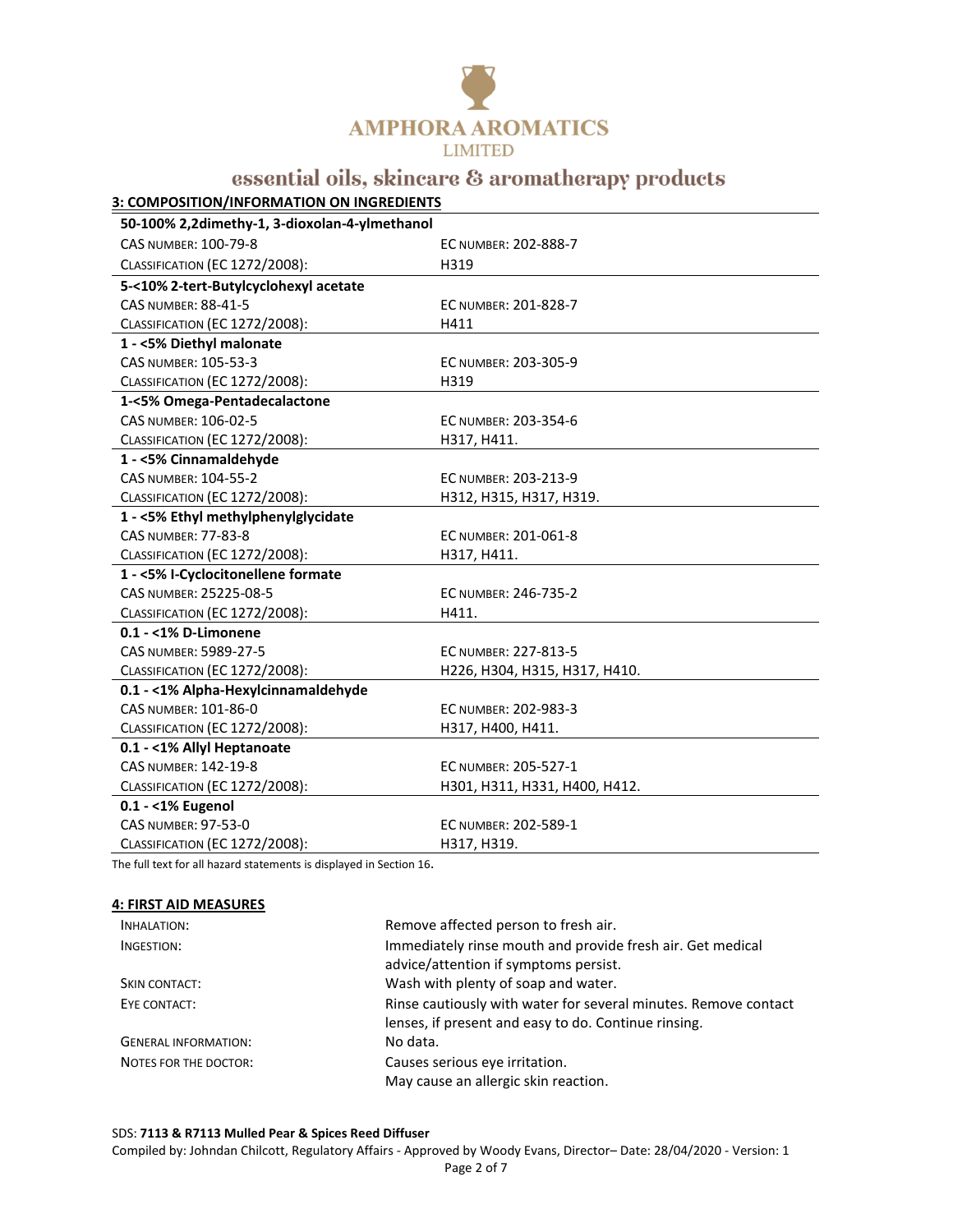

# **3: COMPOSITION ON INGREDIENTS**<br>*INFORMATION ON INGREDIENTS*

| 3: COMPOSITION/INFORMATION ON INGREDIENTS     |                               |  |  |
|-----------------------------------------------|-------------------------------|--|--|
| 50-100% 2,2dimethy-1, 3-dioxolan-4-ylmethanol |                               |  |  |
| <b>CAS NUMBER: 100-79-8</b>                   | EC NUMBER: 202-888-7          |  |  |
| <b>CLASSIFICATION (EC 1272/2008):</b>         | H319                          |  |  |
| 5-<10% 2-tert-Butylcyclohexyl acetate         |                               |  |  |
| <b>CAS NUMBER: 88-41-5</b>                    | EC NUMBER: 201-828-7          |  |  |
| <b>CLASSIFICATION (EC 1272/2008):</b>         | H411                          |  |  |
| 1 - < 5% Diethyl malonate                     |                               |  |  |
| CAS NUMBER: 105-53-3                          | EC NUMBER: 203-305-9          |  |  |
| <b>CLASSIFICATION (EC 1272/2008):</b>         | H319                          |  |  |
| 1-<5% Omega-Pentadecalactone                  |                               |  |  |
| CAS NUMBER: 106-02-5                          | EC NUMBER: 203-354-6          |  |  |
| CLASSIFICATION (EC 1272/2008):                | H317, H411.                   |  |  |
| 1 - < 5% Cinnamaldehyde                       |                               |  |  |
| <b>CAS NUMBER: 104-55-2</b>                   | EC NUMBER: 203-213-9          |  |  |
| CLASSIFICATION (EC 1272/2008):                | H312, H315, H317, H319.       |  |  |
| 1 - <5% Ethyl methylphenylglycidate           |                               |  |  |
| <b>CAS NUMBER: 77-83-8</b>                    | EC NUMBER: 201-061-8          |  |  |
| CLASSIFICATION (EC 1272/2008):                | H317, H411.                   |  |  |
| 1 - < 5% I-Cyclocitonellene formate           |                               |  |  |
| CAS NUMBER: 25225-08-5                        | EC NUMBER: 246-735-2          |  |  |
| <b>CLASSIFICATION (EC 1272/2008):</b>         | H411.                         |  |  |
| $0.1 - 1\%$ D-Limonene                        |                               |  |  |
| CAS NUMBER: 5989-27-5                         | EC NUMBER: 227-813-5          |  |  |
| <b>CLASSIFICATION (EC 1272/2008):</b>         | H226, H304, H315, H317, H410. |  |  |
| 0.1 - < 1% Alpha-Hexylcinnamaldehyde          |                               |  |  |
| CAS NUMBER: 101-86-0                          | EC NUMBER: 202-983-3          |  |  |
| <b>CLASSIFICATION (EC 1272/2008):</b>         | H317, H400, H411.             |  |  |
| 0.1 - < 1% Allyl Heptanoate                   |                               |  |  |
| CAS NUMBER: 142-19-8                          | EC NUMBER: 205-527-1          |  |  |
| CLASSIFICATION (EC 1272/2008):                | H301, H311, H331, H400, H412. |  |  |
| 0.1 - < 1% Eugenol                            |                               |  |  |
| <b>CAS NUMBER: 97-53-0</b>                    | EC NUMBER: 202-589-1          |  |  |
| CLASSIFICATION (EC 1272/2008):                | H317, H319.                   |  |  |

The full text for all hazard statements is displayed in Section 16.

#### **4: FIRST AID MEASURES**

| INHALATION:                 | Remove affected person to fresh air.                                                                                    |
|-----------------------------|-------------------------------------------------------------------------------------------------------------------------|
| INGESTION:                  | Immediately rinse mouth and provide fresh air. Get medical<br>advice/attention if symptoms persist.                     |
| SKIN CONTACT:               | Wash with plenty of soap and water.                                                                                     |
| EYE CONTACT:                | Rinse cautiously with water for several minutes. Remove contact<br>lenses, if present and easy to do. Continue rinsing. |
| <b>GENERAL INFORMATION:</b> | No data.                                                                                                                |
| NOTES FOR THE DOCTOR:       | Causes serious eye irritation.<br>May cause an allergic skin reaction.                                                  |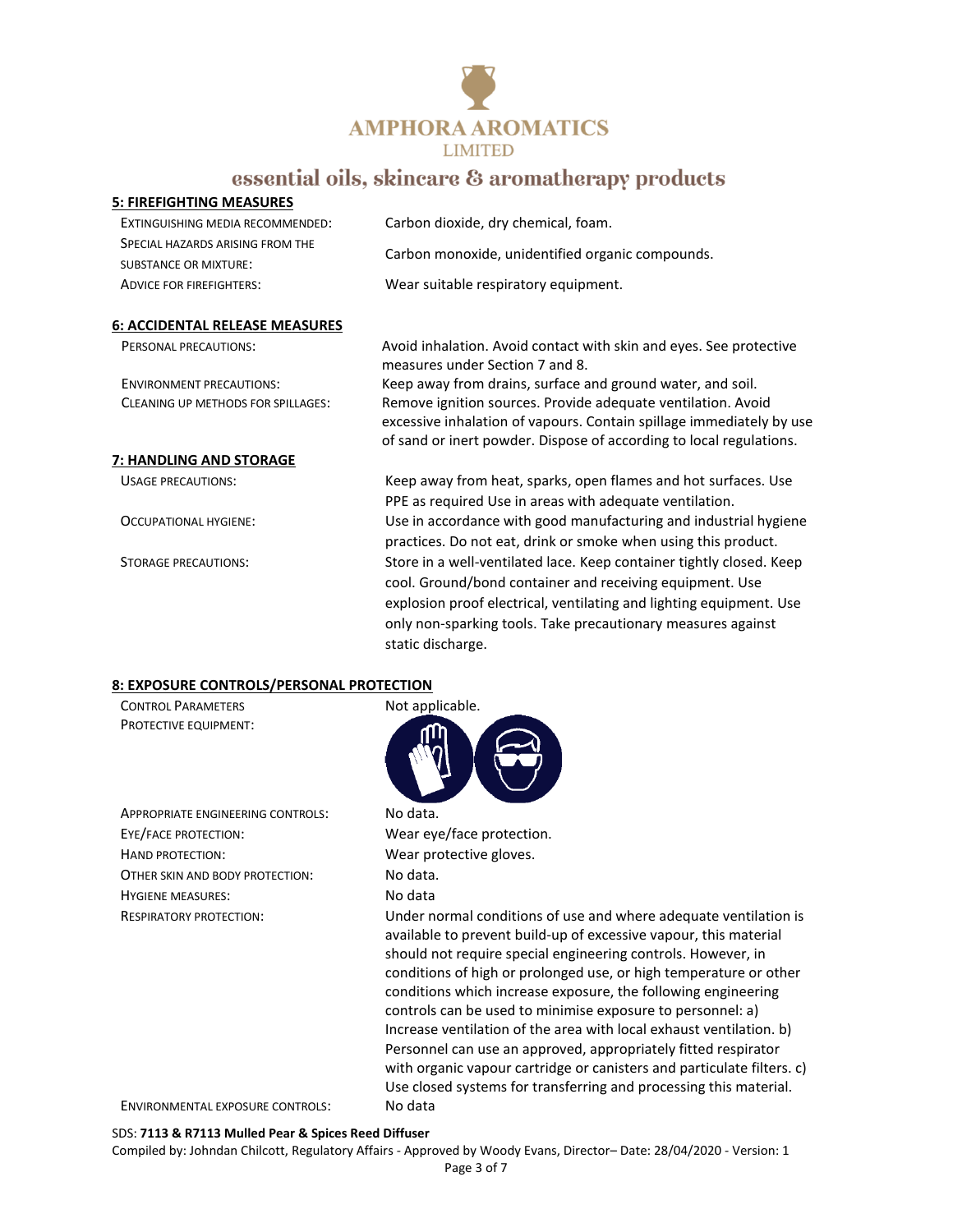

#### **5: FIREFIGHTING MEASURES**

| EXTINGUISHING MEDIA RECOMMENDED: | Carbon dioxide, dry chemical, foam.                                |  |  |
|----------------------------------|--------------------------------------------------------------------|--|--|
| SPECIAL HAZARDS ARISING FROM THE |                                                                    |  |  |
| <b>SUBSTANCE OR MIXTURE:</b>     | Carbon monoxide, unidentified organic compounds.                   |  |  |
| <b>ADVICE FOR FIREFIGHTERS:</b>  | Wear suitable respiratory equipment.                               |  |  |
|                                  |                                                                    |  |  |
| 6: ACCIDENTAL RELEASE MEASURES   |                                                                    |  |  |
| PERSONAL PRECAUTIONS:            | Avoid inhalation. Avoid contact with skin and eyes. See protective |  |  |
|                                  | measures under Section 7 and 8.                                    |  |  |

ENVIRONMENT PRECAUTIONS: Keep away from drains, surface and ground water, and soil. CLEANING UP METHODS FOR SPILLAGES: Remove ignition sources. Provide adequate ventilation. Avoid excessive inhalation of vapours. Contain spillage immediately by use of sand or inert powder. Dispose of according to local regulations.

**7: HANDLING AND STORAGE**

USAGE PRECAUTIONS: Keep away from heat, sparks, open flames and hot surfaces. Use PPE as required Use in areas with adequate ventilation. OCCUPATIONAL HYGIENE: Use in accordance with good manufacturing and industrial hygiene practices. Do not eat, drink or smoke when using this product. STORAGE PRECAUTIONS: Store in a well-ventilated lace. Keep container tightly closed. Keep cool. Ground/bond container and receiving equipment. Use explosion proof electrical, ventilating and lighting equipment. Use only non-sparking tools. Take precautionary measures against static discharge.

#### **8: EXPOSURE CONTROLS/PERSONAL PROTECTION**

| <b>CONTROL PARAMETERS</b>                | Not applicable.                                                                                                                                                                                                                                                                                                                                                                                                                                                                                                                                                                                                                                                                                  |
|------------------------------------------|--------------------------------------------------------------------------------------------------------------------------------------------------------------------------------------------------------------------------------------------------------------------------------------------------------------------------------------------------------------------------------------------------------------------------------------------------------------------------------------------------------------------------------------------------------------------------------------------------------------------------------------------------------------------------------------------------|
| PROTECTIVE EQUIPMENT:                    |                                                                                                                                                                                                                                                                                                                                                                                                                                                                                                                                                                                                                                                                                                  |
| <b>APPROPRIATE ENGINEERING CONTROLS:</b> | No data.                                                                                                                                                                                                                                                                                                                                                                                                                                                                                                                                                                                                                                                                                         |
| EYE/FACE PROTECTION:                     | Wear eye/face protection.                                                                                                                                                                                                                                                                                                                                                                                                                                                                                                                                                                                                                                                                        |
| HAND PROTECTION:                         | Wear protective gloves.                                                                                                                                                                                                                                                                                                                                                                                                                                                                                                                                                                                                                                                                          |
| OTHER SKIN AND BODY PROTECTION:          | No data.                                                                                                                                                                                                                                                                                                                                                                                                                                                                                                                                                                                                                                                                                         |
| <b>HYGIENE MEASURES:</b>                 | No data                                                                                                                                                                                                                                                                                                                                                                                                                                                                                                                                                                                                                                                                                          |
| <b>RESPIRATORY PROTECTION:</b>           | Under normal conditions of use and where adequate ventilation is<br>available to prevent build-up of excessive vapour, this material<br>should not require special engineering controls. However, in<br>conditions of high or prolonged use, or high temperature or other<br>conditions which increase exposure, the following engineering<br>controls can be used to minimise exposure to personnel: a)<br>Increase ventilation of the area with local exhaust ventilation. b)<br>Personnel can use an approved, appropriately fitted respirator<br>with organic vapour cartridge or canisters and particulate filters. c)<br>Use closed systems for transferring and processing this material. |
| ENIVIDONIMENTAL EVDOCLIDE CONTROLS*      | ctch oll                                                                                                                                                                                                                                                                                                                                                                                                                                                                                                                                                                                                                                                                                         |

ENVIRONMENTAL EXPOSURE CONTROLS: No data

#### SDS: **7113 & R7113 Mulled Pear & Spices Reed Diffuser**

Compiled by: Johndan Chilcott, Regulatory Affairs - Approved by Woody Evans, Director– Date: 28/04/2020 - Version: 1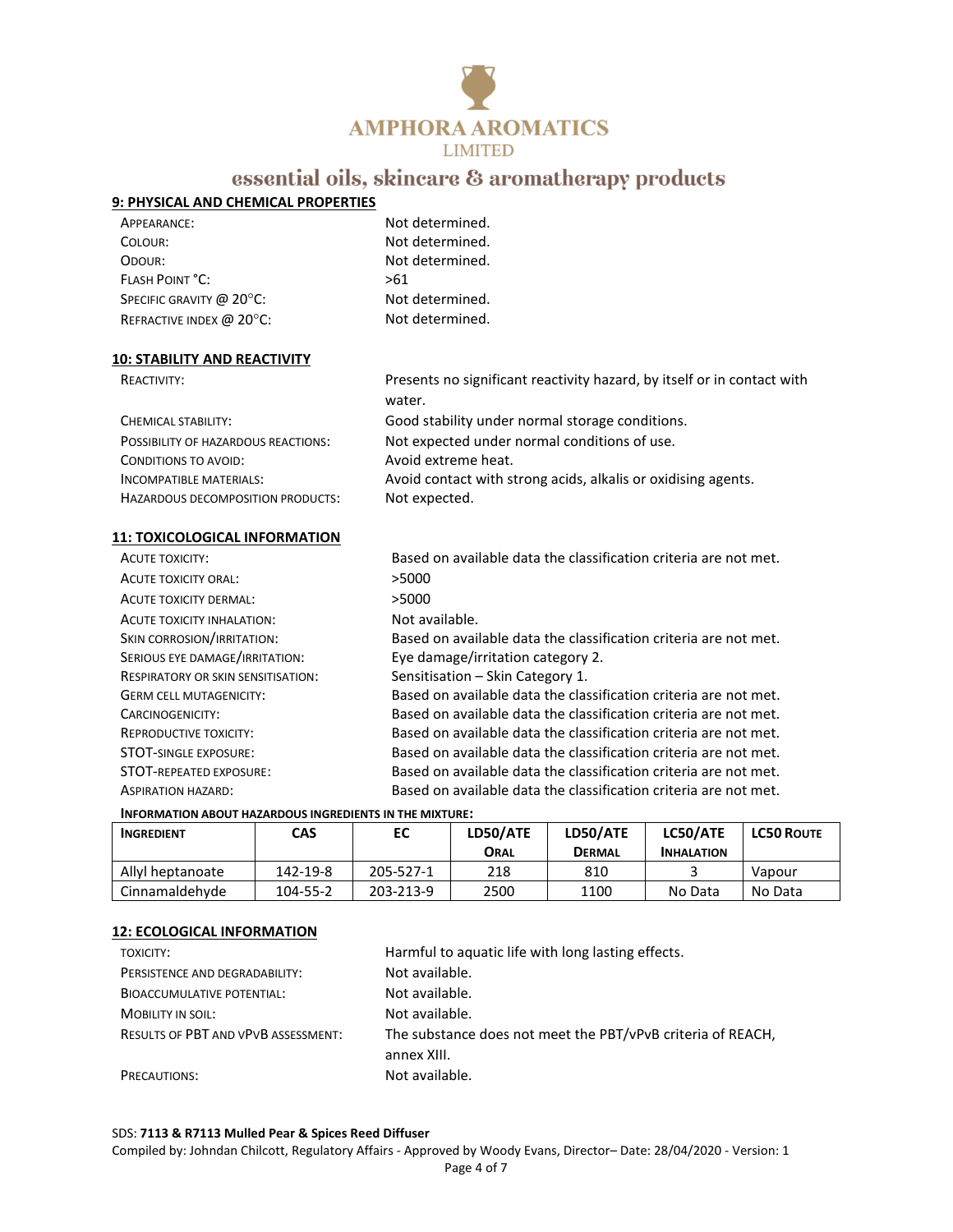

#### **9: PHYSICAL AND CHEMICAL PROPERTIES**

| APPEARANCE:                         | Not determined. |
|-------------------------------------|-----------------|
| COLOUR:                             | Not determined. |
| ODOUR:                              | Not determined. |
| <b>FLASH POINT °C:</b>              | >61             |
| SPECIFIC GRAVITY @ 20°C:            | Not determined. |
| REFRACTIVE INDEX @ 20 $^{\circ}$ C: | Not determined. |

#### **10: STABILITY AND REACTIVITY**

| REACTIVITY:                         | Presents no significant reactivity hazard, by itself or in contact with |
|-------------------------------------|-------------------------------------------------------------------------|
|                                     | water.                                                                  |
| CHEMICAL STABILITY:                 | Good stability under normal storage conditions.                         |
| POSSIBILITY OF HAZARDOUS REACTIONS: | Not expected under normal conditions of use.                            |
| CONDITIONS TO AVOID:                | Avoid extreme heat.                                                     |
| <b>INCOMPATIBLE MATERIALS:</b>      | Avoid contact with strong acids, alkalis or oxidising agents.           |
| HAZARDOUS DECOMPOSITION PRODUCTS:   | Not expected.                                                           |
|                                     |                                                                         |

#### **11: TOXICOLOGICAL INFORMATION**

| ACUTE TOXICITY:                           | Based on available data the classification criteria are not met. |
|-------------------------------------------|------------------------------------------------------------------|
| ACUTE TOXICITY ORAL:                      | >5000                                                            |
| ACUTE TOXICITY DERMAL:                    | >5000                                                            |
| ACUTE TOXICITY INHALATION:                | Not available.                                                   |
| SKIN CORROSION/IRRITATION:                | Based on available data the classification criteria are not met. |
| SERIOUS EYE DAMAGE/IRRITATION:            | Eye damage/irritation category 2.                                |
| <b>RESPIRATORY OR SKIN SENSITISATION:</b> | Sensitisation – Skin Category 1.                                 |
| <b>GERM CELL MUTAGENICITY:</b>            | Based on available data the classification criteria are not met. |
| CARCINOGENICITY:                          | Based on available data the classification criteria are not met. |
| <b>REPRODUCTIVE TOXICITY:</b>             | Based on available data the classification criteria are not met. |
| <b>STOT-SINGLE EXPOSURE:</b>              | Based on available data the classification criteria are not met. |
| <b>STOT-REPEATED EXPOSURE:</b>            | Based on available data the classification criteria are not met. |
| <b>ASPIRATION HAZARD:</b>                 | Based on available data the classification criteria are not met. |
|                                           |                                                                  |

#### **INFORMATION ABOUT HAZARDOUS INGREDIENTS IN THE MIXTURE:**

| <b>INGREDIENT</b> | CAS      | EC        | LD50/ATE<br>ORAL | LD50/ATE<br><b>DERMAL</b> | LC50/ATE<br><b>INHALATION</b> | <b>LC50 ROUTE</b> |
|-------------------|----------|-----------|------------------|---------------------------|-------------------------------|-------------------|
| Allyl heptanoate  | 142-19-8 | 205-527-1 | 218              | 810                       |                               | Vapour            |
| Cinnamaldehyde    | 104-55-2 | 203-213-9 | 2500             | 1100                      | No Data                       | No Data           |

#### **12: ECOLOGICAL INFORMATION**

| <b>TOXICITY:</b>                           | Harmful to aquatic life with long lasting effects.                         |
|--------------------------------------------|----------------------------------------------------------------------------|
| PERSISTENCE AND DEGRADABILITY:             | Not available.                                                             |
| <b>BIOACCUMULATIVE POTENTIAL:</b>          | Not available.                                                             |
| <b>MOBILITY IN SOIL:</b>                   | Not available.                                                             |
| <b>RESULTS OF PBT AND VPVB ASSESSMENT:</b> | The substance does not meet the PBT/vPvB criteria of REACH,<br>annex XIII. |
| PRECAUTIONS:                               | Not available.                                                             |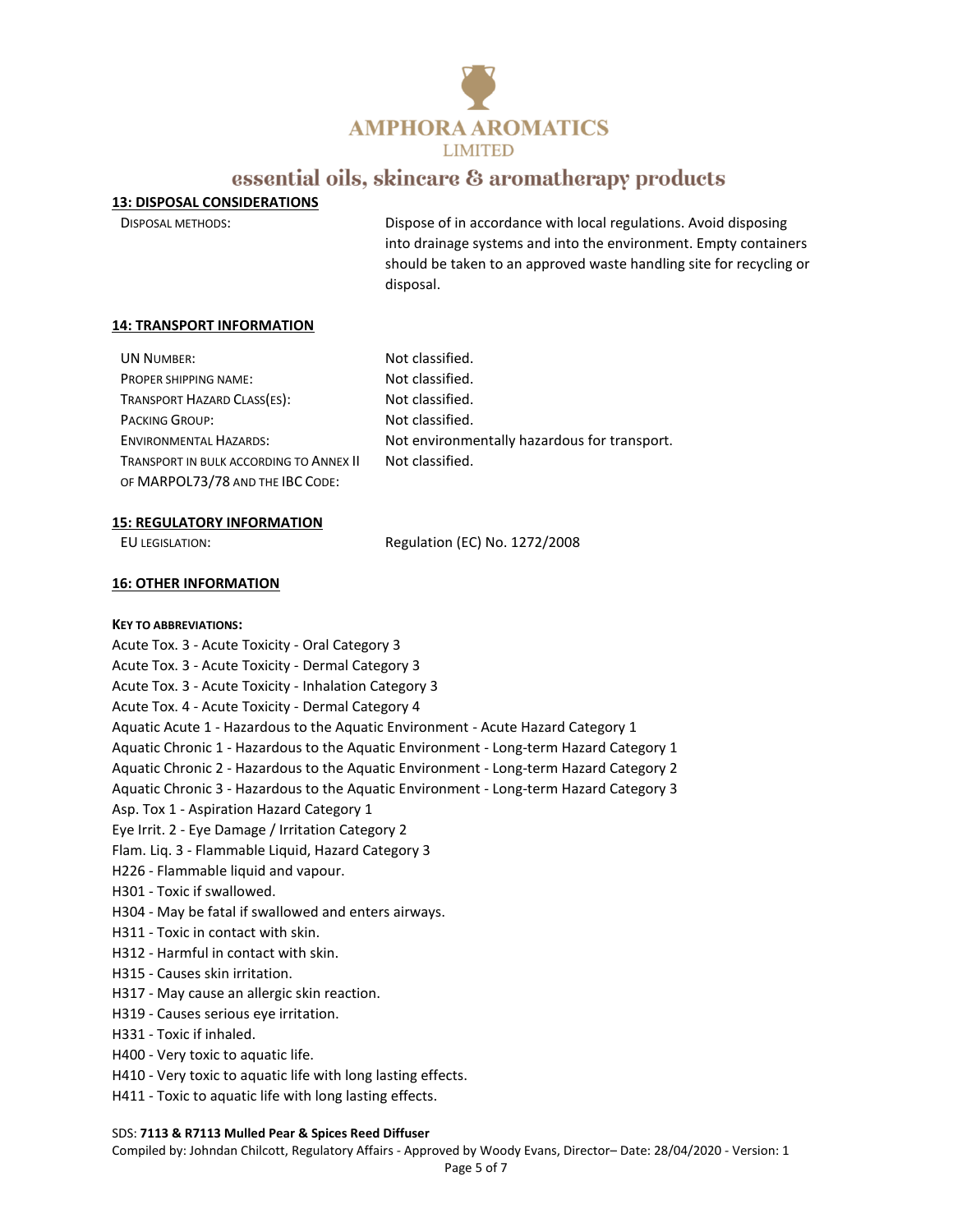

#### **13: DISPOSAL CONSIDERATIONS**

DISPOSAL METHODS: Dispose of in accordance with local regulations. Avoid disposing into drainage systems and into the environment. Empty containers should be taken to an approved waste handling site for recycling or disposal.

#### **14: TRANSPORT INFORMATION**

| <b>UN NUMBER:</b>                              | Not classified.                              |
|------------------------------------------------|----------------------------------------------|
| PROPER SHIPPING NAME:                          | Not classified.                              |
| TRANSPORT HAZARD CLASS(ES):                    | Not classified.                              |
| <b>PACKING GROUP:</b>                          | Not classified.                              |
| <b>ENVIRONMENTAL HAZARDS:</b>                  | Not environmentally hazardous for transport. |
| <b>TRANSPORT IN BULK ACCORDING TO ANNEX II</b> | Not classified.                              |
| OF MARPOL73/78 AND THE IBC CODE:               |                                              |

#### **15: REGULATORY INFORMATION**

EU LEGISLATION: Regulation (EC) No. 1272/2008

#### **16: OTHER INFORMATION**

#### **KEY TO ABBREVIATIONS:**

Acute Tox. 3 - Acute Toxicity - Oral Category 3 Acute Tox. 3 - Acute Toxicity - Dermal Category 3 Acute Tox. 3 - Acute Toxicity - Inhalation Category 3 Acute Tox. 4 - Acute Toxicity - Dermal Category 4 Aquatic Acute 1 - Hazardous to the Aquatic Environment - Acute Hazard Category 1 Aquatic Chronic 1 - Hazardous to the Aquatic Environment - Long-term Hazard Category 1 Aquatic Chronic 2 - Hazardous to the Aquatic Environment - Long-term Hazard Category 2 Aquatic Chronic 3 - Hazardous to the Aquatic Environment - Long-term Hazard Category 3 Asp. Tox 1 - Aspiration Hazard Category 1 Eye Irrit. 2 - Eye Damage / Irritation Category 2 Flam. Liq. 3 - Flammable Liquid, Hazard Category 3 H226 - Flammable liquid and vapour. H301 - Toxic if swallowed. H304 - May be fatal if swallowed and enters airways. H311 - Toxic in contact with skin. H312 - Harmful in contact with skin. H315 - Causes skin irritation. H317 - May cause an allergic skin reaction. H319 - Causes serious eye irritation. H331 - Toxic if inhaled. H400 - Very toxic to aquatic life. H410 - Very toxic to aquatic life with long lasting effects.

H411 - Toxic to aquatic life with long lasting effects.

#### SDS: **7113 & R7113 Mulled Pear & Spices Reed Diffuser**

Compiled by: Johndan Chilcott, Regulatory Affairs - Approved by Woody Evans, Director– Date: 28/04/2020 - Version: 1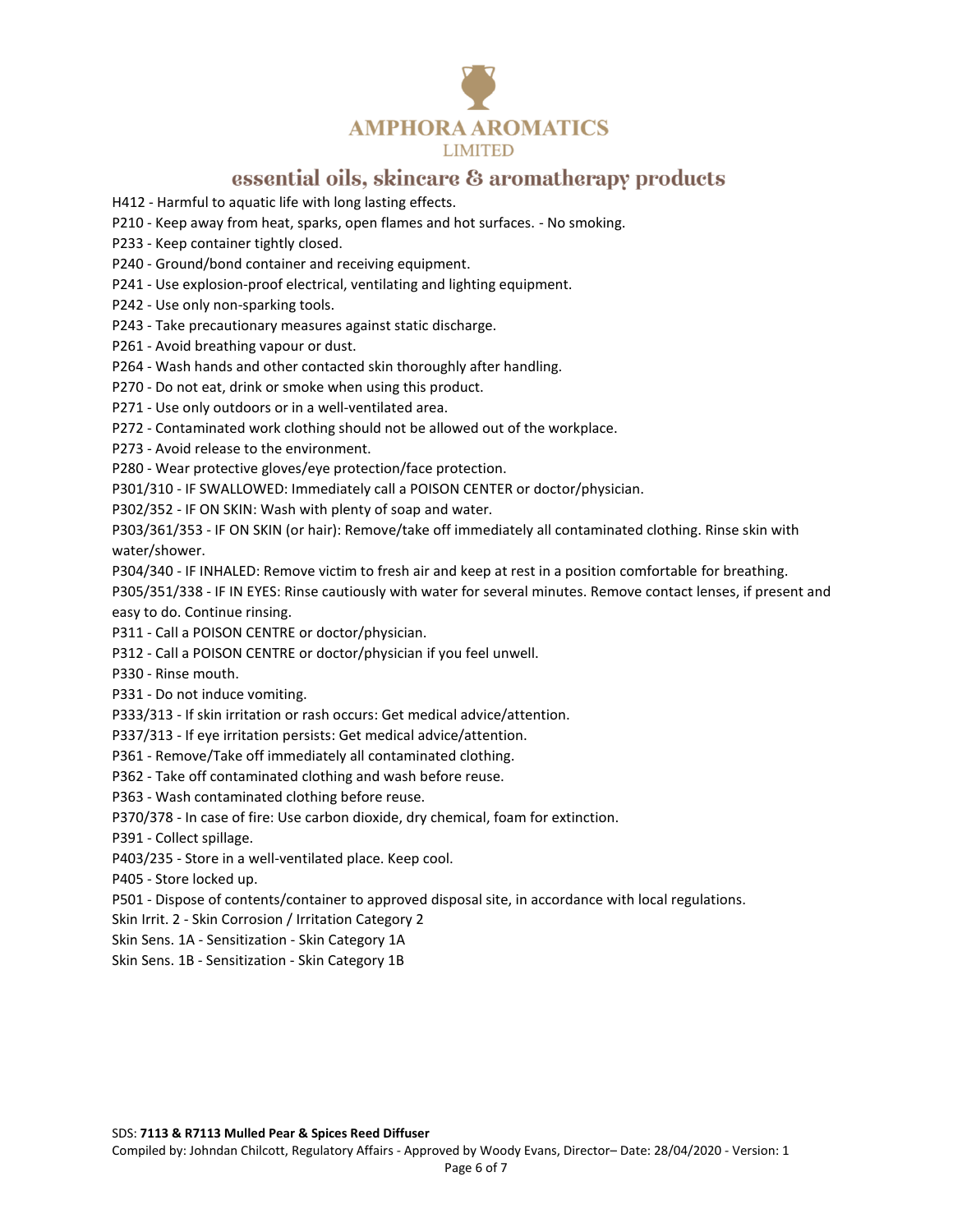

H412 - Harmful to aquatic life with long lasting effects.

- P210 Keep away from heat, sparks, open flames and hot surfaces. No smoking.
- P233 Keep container tightly closed.

P240 - Ground/bond container and receiving equipment.

- P241 Use explosion-proof electrical, ventilating and lighting equipment.
- P242 Use only non-sparking tools.
- P243 Take precautionary measures against static discharge.
- P261 Avoid breathing vapour or dust.
- P264 Wash hands and other contacted skin thoroughly after handling.

P270 - Do not eat, drink or smoke when using this product.

P271 - Use only outdoors or in a well-ventilated area.

P272 - Contaminated work clothing should not be allowed out of the workplace.

P273 - Avoid release to the environment.

P280 - Wear protective gloves/eye protection/face protection.

P301/310 - IF SWALLOWED: Immediately call a POISON CENTER or doctor/physician.

P302/352 - IF ON SKIN: Wash with plenty of soap and water.

P303/361/353 - IF ON SKIN (or hair): Remove/take off immediately all contaminated clothing. Rinse skin with water/shower.

P304/340 - IF INHALED: Remove victim to fresh air and keep at rest in a position comfortable for breathing.

P305/351/338 - IF IN EYES: Rinse cautiously with water for several minutes. Remove contact lenses, if present and easy to do. Continue rinsing.

P311 - Call a POISON CENTRE or doctor/physician.

P312 - Call a POISON CENTRE or doctor/physician if you feel unwell.

P330 - Rinse mouth.

P331 - Do not induce vomiting.

P333/313 - If skin irritation or rash occurs: Get medical advice/attention.

P337/313 - If eye irritation persists: Get medical advice/attention.

P361 - Remove/Take off immediately all contaminated clothing.

P362 - Take off contaminated clothing and wash before reuse.

P363 - Wash contaminated clothing before reuse.

P370/378 - In case of fire: Use carbon dioxide, dry chemical, foam for extinction.

P391 - Collect spillage.

P403/235 - Store in a well-ventilated place. Keep cool.

P405 - Store locked up.

P501 - Dispose of contents/container to approved disposal site, in accordance with local regulations.

Skin Irrit. 2 - Skin Corrosion / Irritation Category 2

Skin Sens. 1A - Sensitization - Skin Category 1A

Skin Sens. 1B - Sensitization - Skin Category 1B